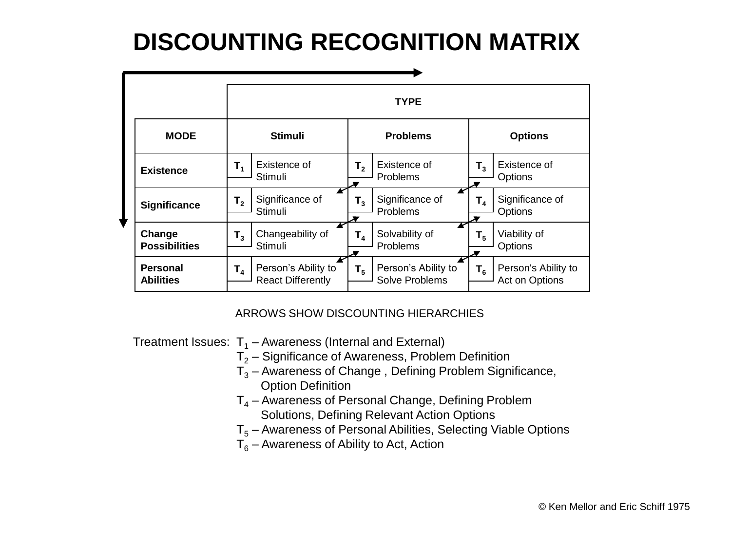## **DISCOUNTING RECOGNITION MATRIX**

|  |                                     | <b>TYPE</b>    |                                                 |                 |                                       |                |                                       |
|--|-------------------------------------|----------------|-------------------------------------------------|-----------------|---------------------------------------|----------------|---------------------------------------|
|  | <b>MODE</b>                         | <b>Stimuli</b> |                                                 | <b>Problems</b> |                                       | <b>Options</b> |                                       |
|  | <b>Existence</b>                    | $T_{1}$        | Existence of<br>Stimuli                         | $\mathsf{T}_2$  | Existence of<br>Problems              | $T_{3}$        | Existence of<br>Options               |
|  | <b>Significance</b>                 | T <sub>2</sub> | Significance of<br>Stimuli                      | $T_{3}$         | Significance of<br>Problems           | $\mathsf{T}_4$ | Significance of<br>Options            |
|  | Change<br><b>Possibilities</b>      | $T_3$          | Changeability of<br>Stimuli                     | $\mathsf{T}_4$  | Solvability of<br>Problems            | $\mathsf{T}_5$ | Viability of<br>Options               |
|  | <b>Personal</b><br><b>Abilities</b> | $T_{4}$        | Person's Ability to<br><b>React Differently</b> | $T_{5}$         | Person's Ability to<br>Solve Problems | $T_{6}$        | Person's Ability to<br>Act on Options |

## ARROWS SHOW DISCOUNTING HIERARCHIES

Treatment Issues:  $T_1$  – Awareness (Internal and External)

- $T<sub>2</sub>$  Significance of Awareness, Problem Definition
- $\overline{T}_3$  Awareness of Change, Defining Problem Significance, Option Definition
- $T<sub>4</sub>$  Awareness of Personal Change, Defining Problem Solutions, Defining Relevant Action Options
- $T<sub>5</sub>$  Awareness of Personal Abilities, Selecting Viable Options
- $T_6$  Awareness of Ability to Act, Action